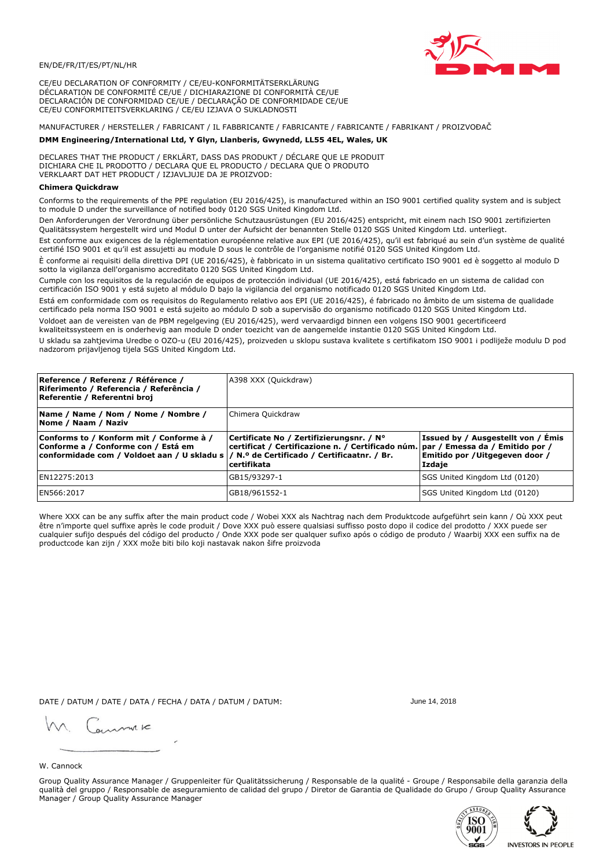

CE/EU DECLARATION OF CONFORMITY / CE/EU-KONFORMITÄTSERKLÄRUNG DÉCLARATION DE CONFORMITÉ CE/UE / DICHIARAZIONE DI CONFORMITÀ CE/UE DECLARACIÓN DE CONFORMIDAD CE/UE / DECLARAÇÃO DE CONFORMIDADE CE/UE CE/EU CONFORMITEITSVERKLARING / CE/EU IZJAVA O SUKLADNOSTI

# MANUFACTURER / HERSTELLER / FABRICANT / IL FABBRICANTE / FABRICANTE / FABRICANTE / FABRIKANT / PROIZVOĐAČ

# DMM Engineering/International Ltd, Y Glyn, Llanberis, Gwynedd, LL55 4EL, Wales, UK

DECLARES THAT THE PRODUCT / ERKLÄRT, DASS DAS PRODUKT / DÉCLARE QUE LE PRODUIT<br>DICHIARA CHE IL PRODOTTO / DECLARA QUE EL PRODUCTO / DECLARA QUE O PRODUTO VERKLAART DAT HET PRODUCT / IZJAVLJUJE DA JE PROIZVOD:

### **Chimera Ouickdraw**

Conforms to the requirements of the PPE regulation (EU 2016/425), is manufactured within an ISO 9001 certified quality system and is subject to module D under the surveillance of notified body 0120 SGS United Kingdom Ltd.

Den Anforderungen der Verordnung über persönliche Schutzausrüstungen (EU 2016/425) entspricht, mit einem nach ISO 9001 zertifizierten Qualitätssystem hergestellt wird und Modul D unter der Aufsicht der benannten Stelle 0120 SGS United Kingdom Ltd. unterliegt.

Est conforme aux exigences de la réglementation européenne relative aux EPI (UE 2016/425), qu'il est fabriqué au sein d'un système de qualité certifié ISO 9001 et qu'il est assujetti au module D sous le contrôle de l'organisme notifié 0120 SGS United Kingdom Ltd.

È conforme ai requisiti della direttiva DPI (UE 2016/425), è fabbricato in un sistema qualitativo certificato ISO 9001 ed è soggetto al modulo D sotto la vigilanza dell'organismo accreditato 0120 SGS United Kingdom Ltd.

Cumple con los requisitos de la regulación de equipos de protección individual (UE 2016/425), está fabricado en un sistema de calidad con certificación ISO 9001 y está sujeto al módulo D bajo la vigilancia del organismo notificado 0120 SGS United Kingdom Ltd.

Está em conformidade com os requisitos do Regulamento relativo aos EPI (UE 2016/425), é fabricado no âmbito de um sistema de qualidade certificado pela norma ISO 9001 e está sujeito ao módulo D sob a supervisão do organismo notificado 0120 SGS United Kingdom Ltd. Voldoet aan de vereisten van de PBM regelgeving (EU 2016/425), werd vervaardigd binnen een volgens ISO 9001 gecertificeerd

kwaliteitssysteem en is onderhevig aan module D onder toezicht van de aangemelde instantie 0120 SGS United Kingdom Ltd.

U skladu sa zahtjevima Uredbe o OZO-u (EU 2016/425), proizveden u sklopu sustava kvalitete s certifikatom ISO 9001 i podliježe modulu D pod nadzorom prijavljenog tijela SGS United Kingdom Ltd.

| Reference / Referenz / Référence /<br>Riferimento / Referencia / Referência /<br>Referentie / Referentni broj                                                              | A398 XXX (Quickdraw)                                                                                                                         |                                                                                 |  |
|----------------------------------------------------------------------------------------------------------------------------------------------------------------------------|----------------------------------------------------------------------------------------------------------------------------------------------|---------------------------------------------------------------------------------|--|
| Name / Name / Nom / Nome / Nombre /<br>Nome / Naam / Naziv                                                                                                                 | Chimera Quickdraw                                                                                                                            |                                                                                 |  |
| Conforms to / Konform mit / Conforme à /<br>Conforme a / Conforme con / Está em<br>conformidade com / Voldoet aan / U skladu s / N.º de Certificado / Certificaatnr. / Br. | Certificate No / Zertifizierungsnr. / N°<br>certificat / Certificazione n. / Certificado núm. par / Emessa da / Emitido por /<br>certifikata | Issued by / Ausgestellt von / Émis<br>Emitido por / Uitgegeven door /<br>Izdaje |  |
| EN12275:2013                                                                                                                                                               | GB15/93297-1                                                                                                                                 | SGS United Kingdom Ltd (0120)                                                   |  |
| EN566:2017                                                                                                                                                                 | GB18/961552-1                                                                                                                                | SGS United Kingdom Ltd (0120)                                                   |  |

Where XXX can be any suffix after the main product code / Wobei XXX als Nachtrag nach dem Produktcode aufgeführt sein kann / Où XXX peut être n'importe quel suffixe après le code produit / Dove XXX può essere qualsiasi suffisso posto dopo il codice del prodotto / XXX puede ser cualquier sufijo después del código del producto / Onde XXX pode ser qualquer sufixo após o código de produto / Waarbij XXX een suffix na de productcode kan zijn / XXX može biti bilo koji nastavak nakon šifre proizvoda

DATE / DATUM / DATE / DATA / FECHA / DATA / DATUM / DATUM:

gimmic

June 14 2018



Group Quality Assurance Manager / Gruppenleiter für Qualitätssicherung / Responsable de la qualité - Groupe / Responsabile della garanzia della qualità del gruppo / Responsable de aseguramiento de calidad del grupo / Diretor de Garantia de Qualidade do Grupo / Group Quality Assurance Manager / Group Quality Assurance Manager



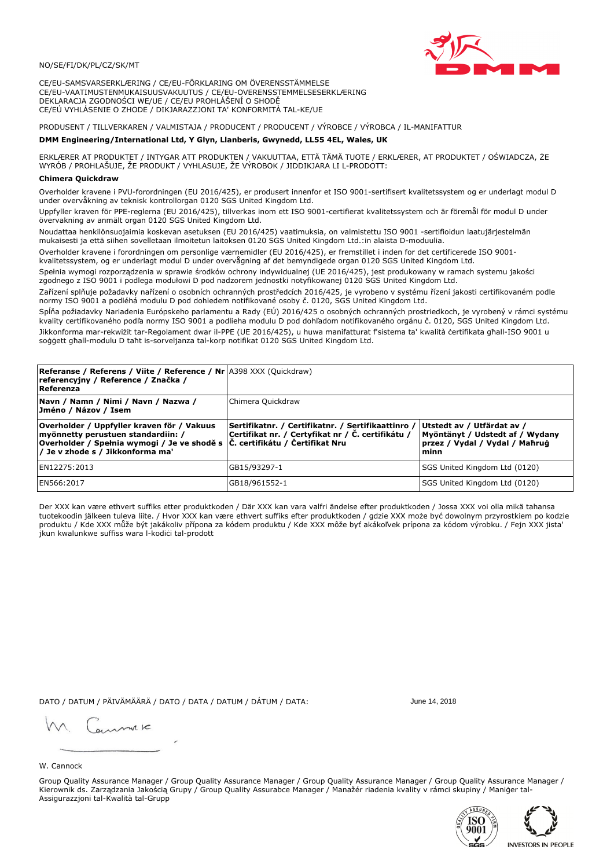### NO/SE/FI/DK/PL/CZ/SK/MT

CE/EU-SAMSVARSERKLÆRING / CE/EU-FÖRKLARING OM ÖVERENSSTÄMMELSE CE/EU-VAATIMUSTENMUKAISUUSVAKUUTUS / CE/EU-OVERENSSTEMMELSESERKLÆRING DEKLARACJA ZGODNOŚCI WE/UE / CE/EU PROHLÁŠENÍ O SHODĚ CE/EÚ VYHLÁSENIE O ZHODE / DIKJARAZZJONI TA' KONFORMITÀ TAL-KE/UE

PRODUSENT / TILLVERKAREN / VALMISTAJA / PRODUCENT / PRODUCENT / VÝROBCE / VÝROBCA / IL-MANIFATTUR

### DMM Engineering/International Ltd, Y Glyn, Llanberis, Gwynedd, LL55 4EL, Wales, UK

ERKLÆRER AT PRODUKTET / INTYGAR ATT PRODUKTEN / VAKUUTTAA, ETTÄ TÄMÄ TUOTE / ERKLÆRER, AT PRODUKTET / OŚWIADCZA, ŻE<br>WYRÓB / PROHLAŠUJE, ŽE PRODUKT / VYHLASUJE, ŽE VÝROBOK / JIDDIKJARA LI L-PRODOTT:

Overholder kravene i PVU-forordningen (EU 2016/425), er produsert innenfor et ISO 9001-sertifisert kvalitetssystem og er underlagt modul D<br>under overvåkning av teknisk kontrollorgan 0120 SGS United Kingdom Ltd.

Uppfyller kraven för PPE-reglerna (EU 2016/425), tillverkas inom ett ISO 9001-certifierat kvalitetssystem och är föremål för modul D under övervakning av anmält organ 0120 SGS United Kingdom Ltd.

Noudattaa henkilönsuojaimia koskevan asetuksen (EU 2016/425) vaatimuksia, on valmistettu ISO 9001 -sertifioidun laatujärjestelmän mukaisesti ja että siihen sovelletaan ilmoitetun laitoksen 0120 SGS United Kingdom Ltd.:in alaista D-moduulia.

Overholder kravene i forordningen om personlige værnemidler (EU 2016/425), er fremstillet i inden for det certificerede ISO 9001kvalitetssystem, og er underlagt modul D under overvågning af det bemyndigede organ 0120 SGS United Kingdom Ltd.

Spełnia wymogi rozporządzenia w sprawie środków ochrony indywidualnej (UE 2016/425), jest produkowany w ramach systemu jakości zgodnego z ISO 9001 i podlega modułowi D pod nadzorem jednostki notyfikowanej 0120 SGS United Kingdom Ltd.

Zařízení splňuje požadavky nařízení o osobních ochranných prostředcích 2016/425, je vyrobeno v systému řízení jakosti certifikovaném podle normy ISO 9001 a podléhá modulu D pod dohledem notifikované osoby č. 0120, SGS United Kingdom Ltd.

Spĺňa požiadavky Nariadenia Európskeho parlamentu a Rady (EÚ) 2016/425 o osobných ochranných prostriedkoch, je vyrobený v rámci systému kvality certifikovaného podľa normy ISO 9001 a podlieha modulu D pod dohľadom notifikovaného orgánu č. 0120, SGS Únited Kingdom Ltd. Jikkonforma mar-rekwiżit tar-Regolament dwar il-PPE (UE 2016/425), u huwa manifatturat f'sistema ta' kwalità certifikata għall-ISO 9001 u soggett ghall-modulu D taht is-sorveljanza tal-korp notifikat 0120 SGS United Kingdom Ltd.

| <b>Referanse / Referens / Viite / Reference / Nr 4398 XXX (Quickdraw)</b><br>referencyjny / Reference / Značka /<br>Referenza                                                                                    |                                                                                                         |                                                                                                         |
|------------------------------------------------------------------------------------------------------------------------------------------------------------------------------------------------------------------|---------------------------------------------------------------------------------------------------------|---------------------------------------------------------------------------------------------------------|
| Navn / Namn / Nimi / Navn / Nazwa /<br>Jméno / Názov / Isem                                                                                                                                                      | Chimera Quickdraw                                                                                       |                                                                                                         |
| Overholder / Uppfyller kraven för / Vakuus<br>myönnetty perustuen standardiin: /<br>Overholder / Spełnia wymogi / Je ve shodě s $ \tilde{C} $ . certifikátu / Certifikat Nru<br>/ Je v zhode s / Jikkonforma ma' | Sertifikatnr. / Certifikatnr. / Sertifikaattinro /<br>Certifikat nr. / Certyfikat nr / Č. certifikátu / | Utstedt av / Utfärdat av /<br>Myöntänyt / Udstedt af / Wydany<br>przez / Vydal / Vydal / Mahrug<br>minn |
| EN12275:2013                                                                                                                                                                                                     | GB15/93297-1                                                                                            | SGS United Kingdom Ltd (0120)                                                                           |
| EN566:2017                                                                                                                                                                                                       | GB18/961552-1                                                                                           | SGS United Kingdom Ltd (0120)                                                                           |

Der XXX kan være ethvert suffiks etter produktkoden / Där XXX kan vara valfri ändelse efter produktkoden / Jossa XXX voi olla mikä tahansa tuotekoodin jälkeen tuleva liite. / Hvor XXX kan være ethvert suffiks efter produktkoden / gdzie XXX može być dowolnym przyrostkiem po kodzie<br>produktu / Kde XXX může být jakákoliv přípona za kódem produktu / Kde XXX môže b jkun kwalunkwe suffiss wara l-kodići tal-prodott

DATO / DATUM / PÄIVÄMÄÄRÄ / DATO / DATA / DATUM / DÁTUM / DATA:

June 14 2018

annuic

# W. Cannock

Group Quality Assurance Manager / Group Quality Assurance Manager / Group Quality Assurance Manager / Group Quality Assurance Manager / Kierownik ds. Zarządzania Jakością Grupy / Group Quality Assurabce Manager / Manažér riadenia kvality v rámci skupiny / Maniger tal-Assigurazzjoni tal-Kwalità tal-Grupp